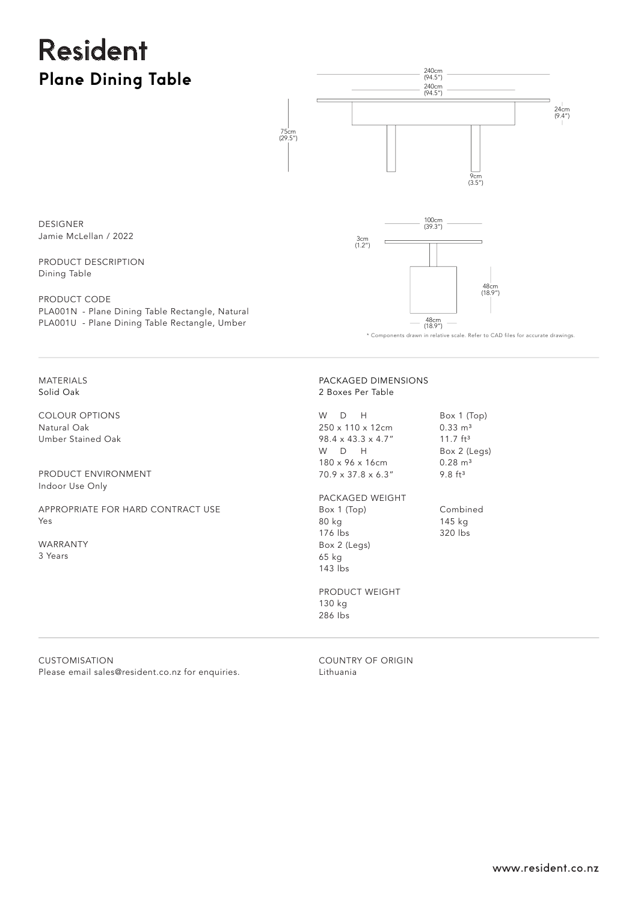## Resident **Plane Dining Table**



DESIGNER Jamie McLellan / 2022

PRODUCT DESCRIPTION Dining Table

PRODUCT CODE PLA001N - Plane Dining Table Rectangle, Natural PLA001U - Plane Dining Table Rectangle, Umber

\* Components drawn in relative scale. Refer to CAD files for accurate drawings.

MATERIALS Solid Oak

COLOUR OPTIONS Natural Oak Umber Stained Oak

PRODUCT ENVIRONMENT Indoor Use Only

APPROPRIATE FOR HARD CONTRACT USE Yes

WARRANTY 3 Years

## PACKAGED DIMENSIONS 2 Boxes Per Table

W D H 250 x 110 x 12cm 98.4 x 43.3 x 4.7" W D H 180 x 96 x 16cm 70.9 x 37.8 x 6.3"

Box 1 (Top) 80 kg 176 lbs Box 2 (Legs) 65 kg 143 lbs

 $0.33 \, m<sup>3</sup>$ 11.7 ft³ Box 2 (Legs)  $0.28 \text{ m}^3$ 9.8 ft³

Box 1 (Top)

Combined 145 kg 320 lbs PACKAGED WEIGHT

PRODUCT WEIGHT 130 kg 286 Ibs

CUSTOMISATION Please email sales@resident.co.nz for enquiries. COUNTRY OF ORIGIN Lithuania